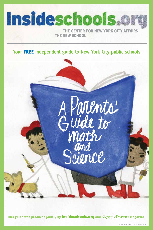

# **Your** FREE **independent guide to New York City public schools**



This guide was produced jointly by **Insideschools.org** and BigAppleParent magazine.

1 Illustration © Chris Raschka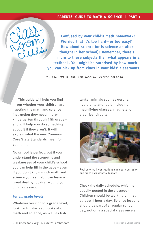#### **PARENTS' GUIDE TO MATH & SCIENCE | PART 1**

**Confused by your child's math homework? Worried that it's too hard—or too easy? How about science (or is science an afterthought in her school)? Remember, there's more to these subjects than what appears in a textbook. You might be surprised by how much you can pick up from clues in your kids' classrooms.** 

By Clara Hemphill and Lydie Raschka, Insideschools.org

This guide will help you find out whether your children are getting the math and science instruction they need in prekindergarten through fifth grade and will help you do something about it if they aren't. It will explain what the new Common Core State Standards mean for your child.

No school is perfect, but if you understand the strengths and weaknesses of your child's school you can help fill in the gaps—even if you don't know much math and science yourself. You can learn a great deal by looking around your child's classroom.

### **For all grade levels**

Whatever your child's grade level, look for fun-to-read books about math and science, as well as fish

tanks, animals such as gerbils, live plants and tools including magnifying glasses, magnets, or electrical circuits.



Real science investigations can spark curiosity and make kids want to do more.

Check the daily schedule, which is usually posted in the classroom. Children should be working on math at least 1 hour a day. Science lessons should be part of a regular school day, not only a special class once a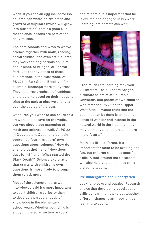week. If you see an egg incubator (so children can watch chicks hatch and grow) or caterpillars (which will grow into butterflies), that's a good clue that science lessons are part of the daily routine.

The best schools find ways to weave science together with math, reading, social studies, and even art. Children may work for long periods on units about birds, or bridges, or Central Park. Look for evidence of these explorations in the classroom. At PS 321 in Park Slope, Brooklyn, for example, kindergartners study trees. They post tree graphs, leaf rubbings, and diagrams based on their frequent trips to the park to observe changes over the course of the year.

Of course you want to see children's artwork and essays on the walls, but you should see examples of math and science as well. At PS 221 in Douglaston, Queens, a bulletin board had fourth-graders' own questions about science: "How do snails breathe?" and "How does dust form?" and "What started the Black Death?" Science exploration that starts with children's own questions is more likely to prompt them to ask more.

Most of the science experts we interviewed said it's more important to spark children's curiosity than to develop a particular body of knowledge in the elementary school years. Whether your child is studying the solar system or rocks

and minerals, it's important that he is excited and engaged in his work. Learning lots of facts can wait.



"Too much rote learning may well kill interest," said Richard Seager, a climate scientist at Columbia University and parent of two children who attended PS 75 on the Upper West Side. "I would think that the best that can be done is to instill a sense of wonder and interest in the natural world in the kids, that they may be motivated to pursue it more in the future."

Math is a little different. It's important for math to be exciting and fun, but children also need specific skills. A look around the classroom will also help you tell if these skills are being taught.

#### **Pre-kindergarten and kindergarten**

Look for blocks and puzzles. Research shows that developing good spatial skills by learning how to put together different shapes is as important as learning to count.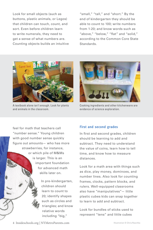Look for small objects (such as buttons, plastic animals, or Legos) that children can touch, count, and sort. Even before children learn to write numerals, they need to get a sense of what numbers are. Counting objects builds an intuitive "small," "tall," and "short." By the end of kindergarten they should be able to count to 100; write numbers from 1-20; and know words such as "above," "below," "flat" and "solid," according to the Common Core State Standards.



A textbook alone isn't enough. Look for plants and animals in the classroom.



Cooking ingredients and other kitchenware are evidence of science exploration.

feel for math that teachers call "number sense." Young children with good number sense quickly figure out amounts— who has more strawberries, for instance, or which pile of M&Ms is larger. This is an important foundation for advanced math skills later on.

> In pre-kindergarten, children should learn to count to 20; identify shapes such as circles and triangles; and know relative words including "big,"

# **First and second grades**

In first and second grades, children should be learning to add and subtract. They need to understand the value of coins, learn how to tell time, and know how to measure distances.

Look for a math area with things such as dice, play money, dominoes, and number lines. Also look for counting frames, clocks, pattern blocks, and rulers. Well-equipped classrooms also have "manipulatives"— little plastic cubes kids can snap together to learn to add and subtract.

Look for bundles of sticks used to represent "tens" and little cubes

4 Insideschools.org | NYMetroParents.com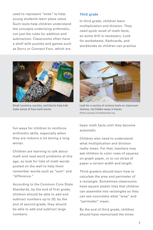used to represent "ones" to help young students learn place value. Such tools help children understand the concepts underlying arithmetic, not just the rules for addition and subtraction. Classrooms often have a shelf with puzzles and games such as Sorry or Connect Four, which are

#### **Third grade**

In third grade, children learn multiplication and division. They need quick recall of math facts, so some drill is necessary. Look for worksheets, flashcards, and workbooks so children can practice



Small counters, puzzles, and blocks help kids make sense of how math works.

fun ways for children to reinforce arithmetic skills, especially when they are indoors a lot during a long winter.

Children are learning to talk about math and read word problems at this age, so look for lists of math words posted on the wall to help them remember words such as "sum" and "difference."

According to the Common Core State Standards, by the end of first grade, children should be able to add and subtract numbers up to 20; by the end of second grade, they should be able to add and subtract large numbers.



Look for a variety of science tools on classroom shelves, not hidden away in boxes. Photos courtesy of Insideschools.org

basic math facts until they become automatic.

Children also need to understand what multiplication and division really mean. For that, teachers may ask children to color rows of squares on graph paper, or to cut strips of paper a certain width and length.

Third-graders should learn how to calculate the area and perimeter of a rectangle. Sometimes classrooms have square plastic tiles that children can assemble into rectangles so they can see concretely what "area" and "perimeter" mean.

By the end of third grade, children should have memorized the times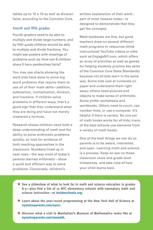tables up to 10 x 10 as well as division facts, according to the Common Core.

#### **Fourth and fifth grades**

Fourth-graders need to be able to multiply and divide large numbers, and by fifth grade children should be able to multiply and divide fractions. You might see posters with drawings of problems such as: How can 8 children share 5 hero sandwiches fairly?

You may see charts showing the work kids have done to solve big word problems that require them to use all of their math skills—addition, subtraction, multiplication, division, and fractions. If children solve problems in different ways, that's a good sign that they understand what they are doing and have not merely mastered a formula.

Research shows children need both a deep understanding of math and the ability to solve arithmetic problems quickly, so look for evidence of both teaching approaches in the classroom. Numbers lined up in neat rows—the way most of today's parents learned arithmetic—show a quick and efficient way to solve problems. Conversely, children's

6 Insideschools.org | NYMetroParents.com

written explanation of their work part of most lessons today—is designed to demonstrate that they get the concepts.

Math textbooks are fine, but good teachers draw on several different math programs or resources (think instructional YouTube videos or sites such as EngageNY.com, which offers an array of activities as well as games for helping students practice key skills of the Common Core State Standards) because not all kids learn in the same way. Some kids look at numerals on paper and understand them right away; others need pictures and objects to make sense of arithmetic. Some prefer worksheets and workbooks. Others need to count, use number lines, or use a computer. It's helpful if there is variety. No one set of math books works for all kids; many of the best schools use elements from a variety of math books.

One of the best things we can do as parents is to be aware, interested, and open. Learning math and science is a process. Keep an eye on these classroom clues and grade-level milestones, and take note of how your child learns best.

- ★ **See a slideshow of what to look for in math and science education in grades K-5—plus find a list of 15 NYC elementary schools with exemplary math and science instruction—at Insideschools.org.**
- ★ **Learn about the year-round programming at the New York Hall of Science at nymetroparents.com/nysci.**
- ★ **Discover what a visit to Manhattan's Museum of Mathematics looks like at nymetroparents.com/momath.**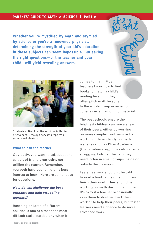### **PARENTS' GUIDE TO MATH & SCIENCE | PART 2**

**Whether you're mystified by math and stymied by science or you're a renowned physicist, determining the strength of your kid's education in these subjects can seem impossible. But asking the right questions—of the teacher and your child—will yield revealing answers.** 



Students at Brooklyn Brownstone in Bedford-Stuyvesant, Brooklyn harvest crops from schoolyard planters.

#### **What to ask the teacher**

Obviously, you want to ask questions as part of friendly curiosity, not grilling the teacher. Remember, you both have your children's best interest at heart. Here are some ideas for questions:

# *How do you challenge the best students and help struggling learners?*

Reaching children of different abilities is one of a teacher's most difficult tasks, particularly when it comes to math. Most teachers know how to find books to match a child's reading level, but they often pitch math lessons to the whole group in order to cover a certain amount of material.

The best schools ensure the brightest children can move ahead of their peers, either by working on more complex problems or by working independently on math websites such as Khan Academy (khanacademy.org). They also ensure struggling kids get the help they need, often in small groups inside or outside the classroom.

Faster learners shouldn't be told to read a book while other children finish their work. They should be working on math during math time. It's okay if a teacher occasionally asks them to double-check their work or to help their peers, but faster learners need a chance to do more advanced work.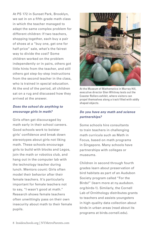At PS 172 in Sunset Park, Brooklyn, we sat in on a fifth-grade math class in which the teacher managed to adapt the same complex problem for different children: If two teachers, shopping together, each buy a pair of shoes at a "buy one, get one for half-price" sale, what's the fairest way to divide the cost? Some children worked on the problem independently or in pairs, others got little hints from the teacher, and still others got step-by-step instructions from the second teacher in the class, who is trained in special education. At the end of the period, all children sat on a rug and discussed how they arrived at the answer.

### *Does the school do anything to encourage girls in math?*

Girls often get discouraged by math early in their school careers. Good schools work to bolster girls' confidence and break down stereotypes about girls not liking math. These schools encourage girls to build with blocks and Legos, join the math or robotics club, and hang out in the computer lab with the technology teacher during lunch. Mentors count: Girls often model their behavior after their female teachers. It's particularly important for female teachers not to say, "I wasn't good at math." Research shows female teachers often unwittingly pass on their own insecurity about math to their female pupils.



At the Museum of Mathematics in Murray Hill, executive director Glen Whitney tests out the Coaster Rollers exhibit, where visitors can propel themselves along a track filled with oddly shaped objects.

# *Do you have any math and science partnerships?*

Some schools hire consultants to train teachers in challenging math curricula such as Math in Focus, based on math programs in Singapore. Many schools have partnerships with colleges or museums.

Children in second through fourth grades learn about preservation of bird habitats as part of an Audubon Society program called "For the Birds!" (learn more at ny.audubon. org/birds-1). Similarly, the Cornell Lab of Ornithology distributes grants to teachers and assists youngsters in high-quality data collection about birds in urban areas (read about its programs at birds.cornell.edu).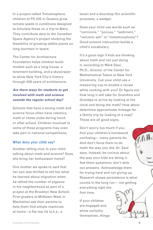In a project called Tomatosphere, children at PS 205 in Queens grow tomato seeds in conditions designed to simulate those on a trip to Mars. They contribute data to the Canadian Space Agency's project studying the feasibility of growing edible plants on long journeys in space.

The Center for Architecture Foundation helps children build models such as a long house, a tenement building, and a skyscraper to show New York City's history through 200 years of architecture.

# *Are there ways for students to get involved with math and science outside the regular school day?*

Schools that have a strong math and science focus often have robotics, math or chess clubs during lunch or after school. Children involved in some of these programs may even take part in national competitions.

#### **What does your child say?**

Another telling clue: Is your child talking about math and science? Does she bring her enthusiasm home?

One mother we spoke to said that her son was thrilled to tell her what he learned about migration when he tallied the number of pigeons in his neighborhood as part of a project at the Brooklyn New School. First-graders at Midtown West in Manhattan ask their parents to help them find simple machines at home—a flip-top lid (a.k.a., a

lever) and a doorstop (for scientific purposes, a wedge).

Does your child use words such as "carnivore," "porous," "sediment," "volcanic ash" or "metamorphosis"? Good science instruction builds a child's vocabulary.

It's a good sign if kids are thinking about math and not just doing it, according to Mark Saul, Ph.D., director of the Center for Mathematical Talent at New York University. Can your child use a measuring cup to double a recipe while cooking with you? Or figure out how long it will take for Grandma and Grandpa to arrive by looking at the clock and doing the math? How about determine approximate mileage for a family trip by looking at a map? Those are all good signs.

Don't worry too much if you find your children's homework confusing— many parents do. And don't force them to do math the way you did, Dr. Saul says. Instead, be curious about the way your kids are doing it. Ask them questions; don't dole out answers. Acknowledge them for trying hard and not giving up. Research shows persistence is what counts in the long run— not getting everything right the first time.

If your children are engaged and show curiosity themselves, things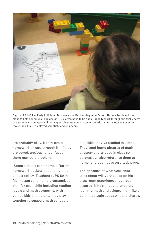

A girl at PS 185 The Early Childhood Discovery and Design Magnet in Central Harlem South looks at plans to help her build a Lego design. Girls often need to be encouraged to work through the tricky parts of a science challenge—and that support is tantamount in today's world; minority women comprise fewer than 1 in 10 employed scientists and engineers.

are probably okay. If they avoid homework or race through it—if they are bored, anxious, or confused there may be a problem.

 Some schools send home different homework packets depending on a child's ability. Teachers at PS 59 in Manhattan send home a customized plan for each child including reading levels and math strengths, with games kids and parents may play together to support math concepts

and skills they've studied in school. They send home pictures of math strategy charts used in class so parents can also reference them at home, and post ideas on a web page.

The specifics of what your child talks about will vary based on his classroom experiences, but rest assured, if he's engaged and truly learning math and science, he'll likely be enthusiastic about what he shares.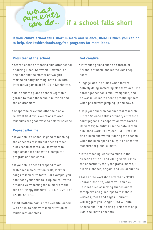**if a school falls short …**

**If your child's school falls short in math and science, there is much you can do to help. See Insideschools.org/free-programs for more ideas.**

### **Volunteer at the school**

- Start a chess or robotics club after school or during lunch. Shewonia Bowman, an engineer and the mother of two girls, started an early morning math club with interactive games at PS 199 in Manhattan.
- Help children plant a school vegetable garden to teach them about nutrition and the environment.
- Chaperone or extend other help on a relevant field trip; excursions to area museums are good ways to bolster science.

#### **Repeat after me**

- If your child's school is good at teaching the concepts of math but doesn't teach quick recall of facts, you may want to supplement at home with a computer program or flash cards.
- If your child doesn't respond to oldfashioned memorization drills, look for songs to memorize facts. For example, you can teach your child to "skip count" by the dreaded 7s by setting the numbers to the tune of "Happy Birthday": 7, 14, 21 / 28, 35 / 42, 49 / 56, 63...
- Visit **mathabc.com**, a free website loaded with drills, to help with memorization of multiplication tables.

#### **Get creative**

- Introduce games such as Yahtzee or Scrabble at home and let the kids keep score.
- Engage kids in studies when they're actively doing something else they love. One parent got her son a mini-trampoline, and he was much more open to practicing facts when paired with jumping up and down.
- Help your children conduct real research: Citizen Science enlists ordinary citizens to count pigeons in cooperation with Cornell University; scientists use the data in their published work. In Project Bud Burst kids find a bush and watch it during the season when the bush opens a bud; it's a sensitive measure for global climate.
- If the teaching leans too much in the direction of "drill and kill," give your kids the opportunity to try tangrams, mazes, 2-D puzzles, shapes, origami and visual puzzles.
- Take a free workshop offered by NYU's Courant Institute, where you can pick up ideas such as making shapes out of toothpicks and gumdrops to talk about vertices, faces and edges. Courant will suggest you Google "DAT = Dental Admissions Test" to find puzzles that help kids 'see' math concepts.